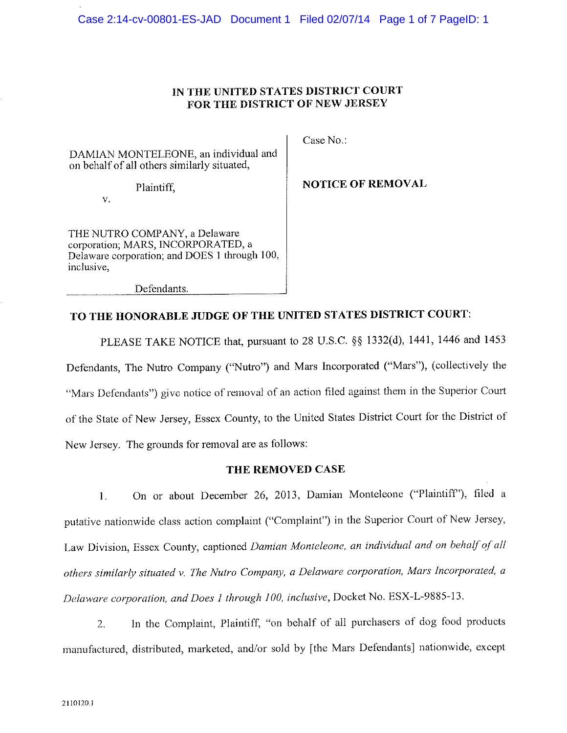## IN THE UNITED STATES DISTRICT COURT FOR THE DISTRICT OF NEW JERSEY

DAMIAN MONTELEONE, an individual and on behalf of all others similarly situated,

Plaintiff,

 $\mathbf V$ 

THE NUTRO COMPANY, a Delaware corporation; MARS, INCORPORATED, a Delaware corporation; and DOES 1 through 100, inclusive.

Defendants.

Case No.:

**NOTICE OF REMOVAL** 

## TO THE HONORABLE JUDGE OF THE UNITED STATES DISTRICT COURT:

PLEASE TAKE NOTICE that, pursuant to 28 U.S.C. §§ 1332(d), 1441, 1446 and 1453 Defendants, The Nutro Company ("Nutro") and Mars Incorporated ("Mars"), (collectively the "Mars Defendants") give notice of removal of an action filed against them in the Superior Court of the State of New Jersey, Essex County, to the United States District Court for the District of New Jersey. The grounds for removal are as follows:

### THE REMOVED CASE

On or about December 26, 2013, Damian Monteleone ("Plaintiff"), filed a  $1.$ putative nationwide class action complaint ("Complaint") in the Superior Court of New Jersey, Law Division, Essex County, captioned Damian Monteleone, an individual and on behalf of all others similarly situated v. The Nutro Company, a Delaware corporation, Mars Incorporated, a Delaware corporation, and Does 1 through 100, inclusive, Docket No. ESX-L-9885-13.

In the Complaint, Plaintiff, "on behalf of all purchasers of dog food products  $2.$ manufactured, distributed, marketed, and/or sold by [the Mars Defendants] nationwide, except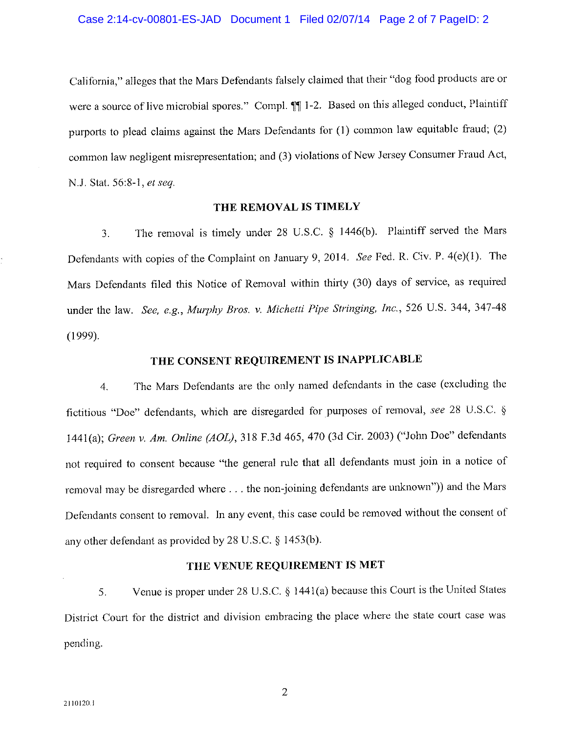California," alleges that the Mars Defendants falsely claimed that their "dog food products are or were a source of live microbial spores." Compl. [1] 1-2. Based on this alleged conduct, Plaintiff purports to plead claims against the Mars Defendants for (1) common law equitable fraud; (2) common law negligent misrepresentation; and (3) violations of New Jersey Consumer Fraud Act, N.J. Stat. 56:8-1, et seq.

#### THE REMOVAL IS TIMELY

The removal is timely under 28 U.S.C. § 1446(b). Plaintiff served the Mars 3. Defendants with copies of the Complaint on January 9, 2014. See Fed. R. Civ. P. 4(e)(1). The Mars Defendants filed this Notice of Removal within thirty (30) days of service, as required under the law. See, e.g., Murphy Bros. v. Michetti Pipe Stringing, Inc., 526 U.S. 344, 347-48  $(1999).$ 

## THE CONSENT REQUIREMENT IS INAPPLICABLE

The Mars Defendants are the only named defendants in the case (excluding the  $\overline{4}$ . fictitious "Doe" defendants, which are disregarded for purposes of removal, see 28 U.S.C. § 1441(a); Green v. Am. Online (AOL), 318 F.3d 465, 470 (3d Cir. 2003) ("John Doe" defendants not required to consent because "the general rule that all defendants must join in a notice of removal may be disregarded where . . . the non-joining defendants are unknown")) and the Mars Defendants consent to removal. In any event, this case could be removed without the consent of any other defendant as provided by 28 U.S.C. § 1453(b).

## THE VENUE REQUIREMENT IS MET

Venue is proper under 28 U.S.C. § 1441(a) because this Court is the United States 5. District Court for the district and division embracing the place where the state court case was pending.

 $\overline{2}$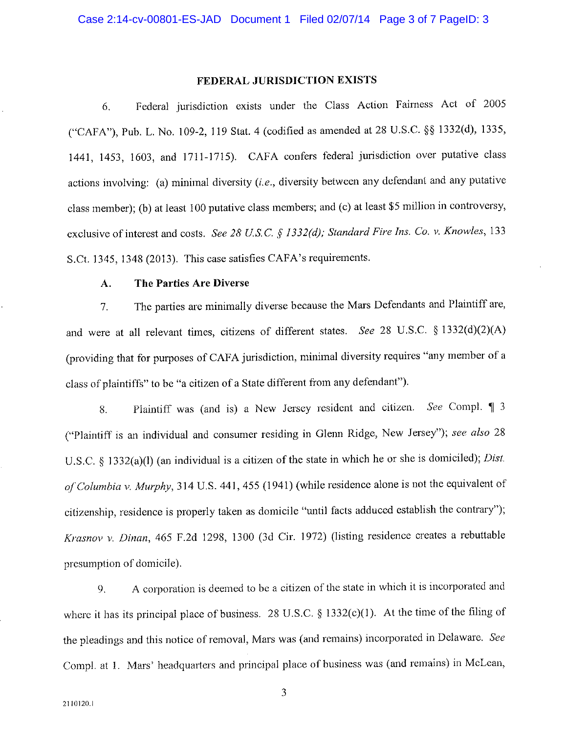#### FEDERAL JURISDICTION EXISTS

Federal jurisdiction exists under the Class Action Fairness Act of 2005 6. ("CAFA"), Pub. L. No. 109-2, 119 Stat. 4 (codified as amended at 28 U.S.C. §§ 1332(d), 1335, 1441, 1453, 1603, and 1711-1715). CAFA confers federal jurisdiction over putative class actions involving: (a) minimal diversity  $(i.e.,$  diversity between any defendant and any putative class member); (b) at least 100 putative class members; and (c) at least \$5 million in controversy, exclusive of interest and costs. See 28 U.S.C. § 1332(d); Standard Fire Ins. Co. v. Knowles, 133 S.Ct. 1345, 1348 (2013). This case satisfies CAFA's requirements.

#### A. The Parties Are Diverse

The parties are minimally diverse because the Mars Defendants and Plaintiff are,  $7<sub>1</sub>$ and were at all relevant times, citizens of different states. See 28 U.S.C. § 1332(d)(2)(A) (providing that for purposes of CAFA jurisdiction, minimal diversity requires "any member of a class of plaintiffs" to be "a citizen of a State different from any defendant").

Plaintiff was (and is) a New Jersey resident and citizen. See Compl. 1 3 8. ("Plaintiff is an individual and consumer residing in Glenn Ridge, New Jersey"); see also 28 U.S.C. § 1332(a)(l) (an individual is a citizen of the state in which he or she is domiciled); Dist. of Columbia v. Murphy, 314 U.S. 441, 455 (1941) (while residence alone is not the equivalent of citizenship, residence is properly taken as domicile "until facts adduced establish the contrary"); Krasnov v. Dinan, 465 F.2d 1298, 1300 (3d Cir. 1972) (listing residence creates a rebuttable presumption of domicile).

A corporation is deemed to be a citizen of the state in which it is incorporated and  $9<sub>1</sub>$ where it has its principal place of business. 28 U.S.C.  $\S$  1332(c)(1). At the time of the filing of the pleadings and this notice of removal, Mars was (and remains) incorporated in Delaware. See Compl. at 1. Mars' headquarters and principal place of business was (and remains) in McLean,

3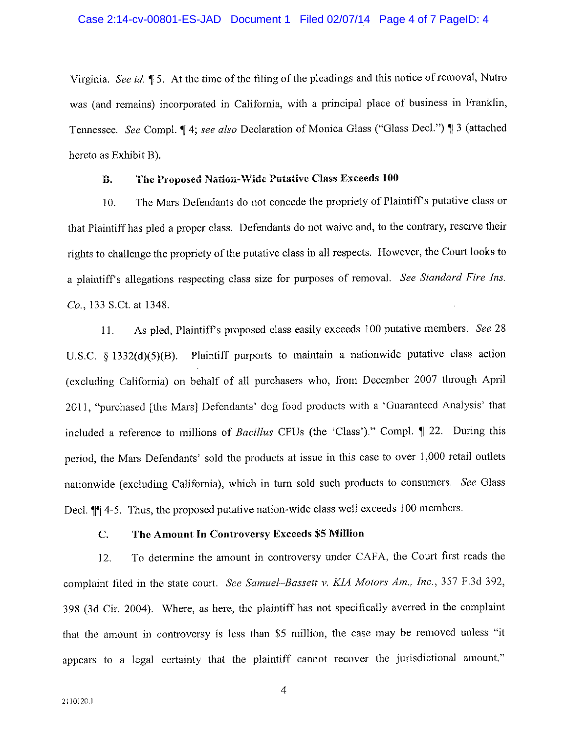Virginia. See id. 15. At the time of the filing of the pleadings and this notice of removal, Nutro was (and remains) incorporated in California, with a principal place of business in Franklin, Tennessee. See Compl. 14; see also Declaration of Monica Glass ("Glass Decl.") 13 (attached hereto as Exhibit B).

#### The Proposed Nation-Wide Putative Class Exceeds 100 В.

The Mars Defendants do not concede the propriety of Plaintiff's putative class or 10. that Plaintiff has pled a proper class. Defendants do not waive and, to the contrary, reserve their rights to challenge the propriety of the putative class in all respects. However, the Court looks to a plaintiff's allegations respecting class size for purposes of removal. See Standard Fire Ins. Co., 133 S.Ct. at 1348.

As pled, Plaintiff's proposed class easily exceeds 100 putative members. See 28  $11.$ U.S.C. § 1332(d)(5)(B). Plaintiff purports to maintain a nationwide putative class action (excluding California) on behalf of all purchasers who, from December 2007 through April 2011, "purchased [the Mars] Defendants' dog food products with a 'Guaranteed Analysis' that included a reference to millions of Bacillus CFUs (the 'Class')." Compl. ¶ 22. During this period, the Mars Defendants' sold the products at issue in this case to over 1,000 retail outlets nationwide (excluding California), which in turn sold such products to consumers. See Glass Decl. <sup>1</sup> 4-5. Thus, the proposed putative nation-wide class well exceeds 100 members.

#### $C.$ The Amount In Controversy Exceeds \$5 Million

To determine the amount in controversy under CAFA, the Court first reads the  $12.$ complaint filed in the state court. See Samuel-Bassett v. KIA Motors Am., Inc., 357 F.3d 392, 398 (3d Cir. 2004). Where, as here, the plaintiff has not specifically averred in the complaint that the amount in controversy is less than \$5 million, the case may be removed unless "it appears to a legal certainty that the plaintiff cannot recover the jurisdictional amount."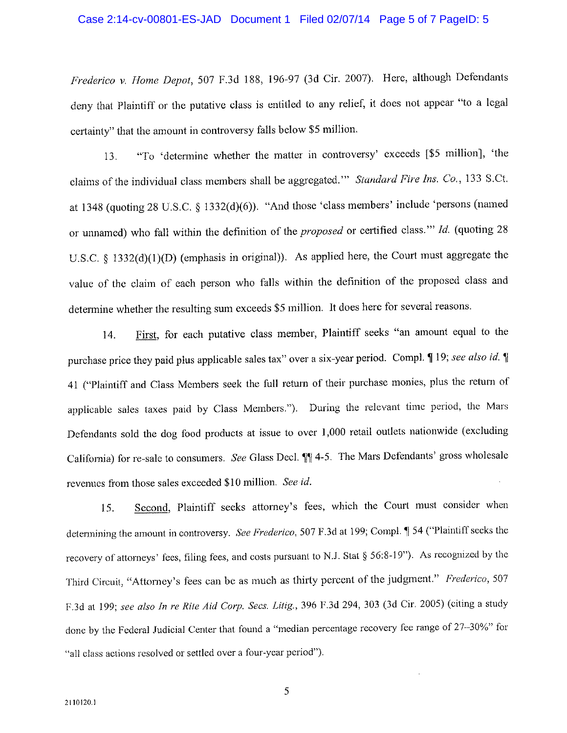#### Case 2:14-cv-00801-ES-JAD Document 1 Filed 02/07/14 Page 5 of 7 PageID: 5

Frederico v. Home Depot, 507 F.3d 188, 196-97 (3d Cir. 2007). Here, although Defendants deny that Plaintiff or the putative class is entitled to any relief, it does not appear "to a legal certainty" that the amount in controversy falls below \$5 million.

"To 'determine whether the matter in controversy' exceeds [\$5 million], 'the 13. claims of the individual class members shall be aggregated." Standard Fire Ins. Co., 133 S.Ct. at 1348 (quoting 28 U.S.C. § 1332(d)(6)). "And those 'class members' include 'persons (named or unnamed) who fall within the definition of the *proposed* or certified class." Id. (quoting 28 U.S.C. § 1332(d)(1)(D) (emphasis in original)). As applied here, the Court must aggregate the value of the claim of each person who falls within the definition of the proposed class and determine whether the resulting sum exceeds \$5 million. It does here for several reasons.

First, for each putative class member, Plaintiff seeks "an amount equal to the 14. purchase price they paid plus applicable sales tax" over a six-year period. Compl. ¶ 19; see also id. ¶ 41 ("Plaintiff and Class Members seek the full return of their purchase monies, plus the return of applicable sales taxes paid by Class Members."). During the relevant time period, the Mars Defendants sold the dog food products at issue to over 1,000 retail outlets nationwide (excluding California) for re-sale to consumers. See Glass Decl. 11 4-5. The Mars Defendants' gross wholesale revenues from those sales exceeded \$10 million. See id.

Second, Plaintiff seeks attorney's fees, which the Court must consider when 15. determining the amount in controversy. See Frederico, 507 F.3d at 199; Compl. [ 54 ("Plaintiff seeks the recovery of attorneys' fees, filing fees, and costs pursuant to N.J. Stat § 56:8-19"). As recognized by the Third Circuit, "Attorney's fees can be as much as thirty percent of the judgment." Frederico, 507 F.3d at 199; see also In re Rite Aid Corp. Secs. Litig., 396 F.3d 294, 303 (3d Cir. 2005) (citing a study done by the Federal Judicial Center that found a "median percentage recovery fee range of 27-30%" for "all class actions resolved or settled over a four-year period").

5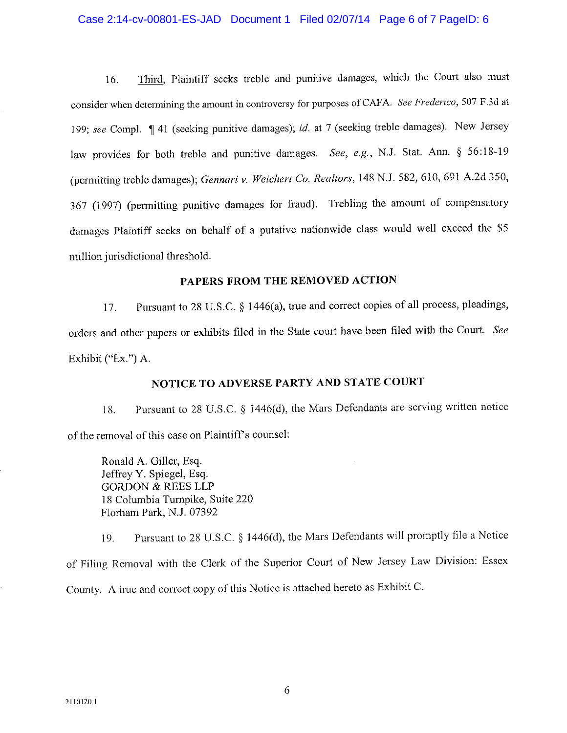#### Case 2:14-cv-00801-ES-JAD Document 1 Filed 02/07/14 Page 6 of 7 PageID: 6

Third, Plaintiff seeks treble and punitive damages, which the Court also must 16. consider when determining the amount in controversy for purposes of CAFA. See Frederico, 507 F.3d at 199; see Compl. [41 (seeking punitive damages); id. at 7 (seeking treble damages). New Jersey law provides for both treble and punitive damages. See, e.g., N.J. Stat. Ann. § 56:18-19 (permitting treble damages); Gennari v. Weichert Co. Realtors, 148 N.J. 582, 610, 691 A.2d 350, 367 (1997) (permitting punitive damages for fraud). Trebling the amount of compensatory damages Plaintiff seeks on behalf of a putative nationwide class would well exceed the \$5 million jurisdictional threshold.

## PAPERS FROM THE REMOVED ACTION

Pursuant to 28 U.S.C. § 1446(a), true and correct copies of all process, pleadings, 17. orders and other papers or exhibits filed in the State court have been filed with the Court. See Exhibit ("Ex.") A.

## NOTICE TO ADVERSE PARTY AND STATE COURT

Pursuant to 28 U.S.C. § 1446(d), the Mars Defendants are serving written notice 18. of the removal of this case on Plaintiff's counsel:

Ronald A. Giller, Esq. Jeffrey Y. Spiegel, Esq. **GORDON & REES LLP** 18 Columbia Turnpike, Suite 220 Florham Park, N.J. 07392

Pursuant to 28 U.S.C. § 1446(d), the Mars Defendants will promptly file a Notice 19. of Filing Removal with the Clerk of the Superior Court of New Jersey Law Division: Essex County. A true and correct copy of this Notice is attached hereto as Exhibit C.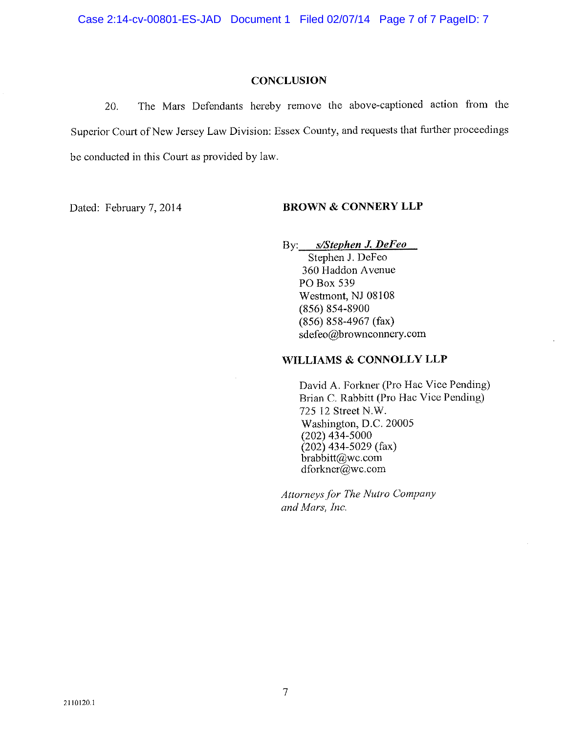#### **CONCLUSION**

The Mars Defendants hereby remove the above-captioned action from the 20. Superior Court of New Jersey Law Division: Essex County, and requests that further proceedings be conducted in this Court as provided by law.

Dated: February 7, 2014

### **BROWN & CONNERY LLP**

By: s/Stephen J. DeFeo

Stephen J. DeFeo 360 Haddon Avenue PO Box 539 Westmont, NJ 08108 (856) 854-8900  $(856) 858-4967$  (fax) sdefeo@brownconnery.com

## WILLIAMS & CONNOLLY LLP

David A. Forkner (Pro Hac Vice Pending) Brian C. Rabbitt (Pro Hac Vice Pending) 725 12 Street N.W. Washington, D.C. 20005  $(202)$  434-5000  $(202)$  434-5029 (fax) brabbitt@wc.com  $d$ forkner@wc.com

Attorneys for The Nutro Company and Mars, Inc.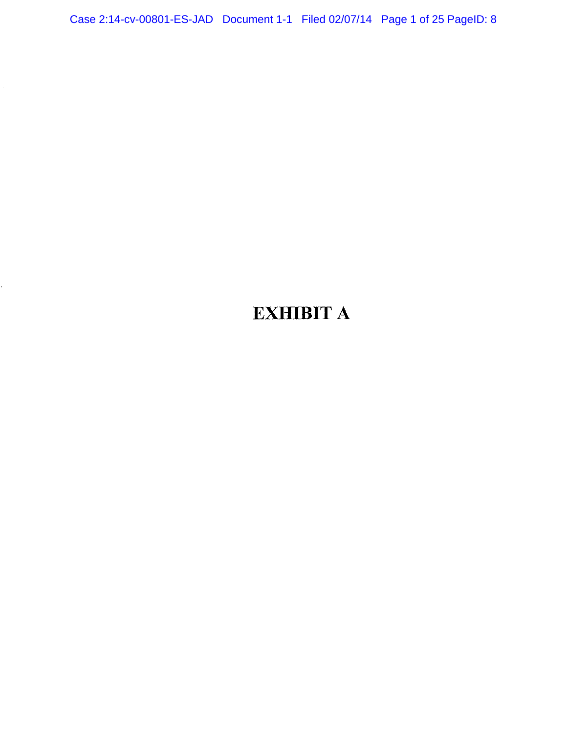Case 2:14-cv-00801-ES-JAD Document 1-1 Filed 02/07/14 Page 1 of 25 PageID: 8

# **EXHIBIT A**

k)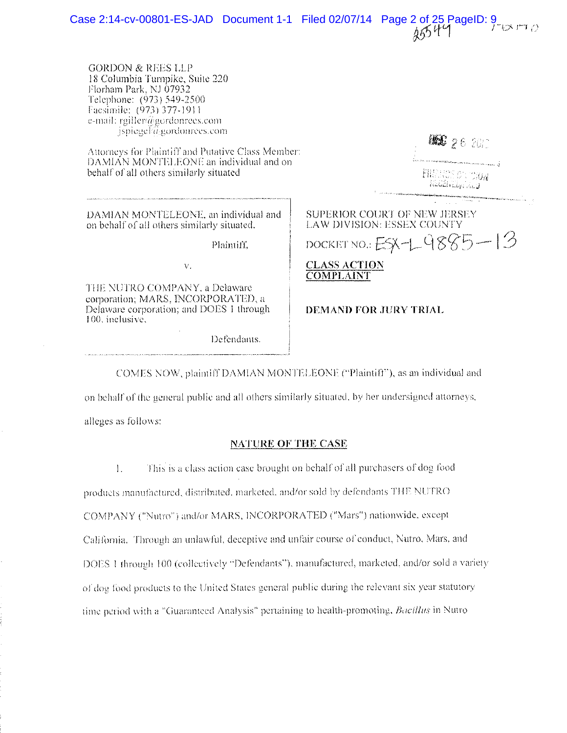Case 2:14-cv-00801-ES-JAD Document 1-1 Filed 02/07/14 Page 2 of 25 PageID:  $9\sqrt{164}$ 

**GORDON & REES LLP** 18 Columbia Turnpike, Suite 220 Florham Park, NJ 07932 Telephone: (973) 549-2500 Facsimile: (973) 377-1911. e-mail: rgiller@gordonrees.com  $\frac{1}{2}$  ispiegel  $\widehat{a}$  gordonrees.com

Attorneys for Plaintiff and Putative Class Member: DAMIAN MONTELEONE an individual and on behalf of all others similarly situated

DAMIAN MONTELEONE, an individual and on behalf of all others similarly situated,

 $\bar{\nabla}_i$ 

Plaintiff.

THE NUTRO COMPANY, a Delaware corporation; MARS, INCORPORATED. a Delaware corporation; and DOES 1 through 100 inclusive.

Defendants.

|                                                                   | the contact complete a result in complete complete the real<br><b>FILLESS SAN DRAW</b><br>REGINAL PRODUCTION |
|-------------------------------------------------------------------|--------------------------------------------------------------------------------------------------------------|
| SUPERIOR COURT OF NEW JERSEY<br><b>LAW DIVISION: ESSEX COUNTY</b> |                                                                                                              |
|                                                                   | DOCKET NO.: ESX-1-9885-13                                                                                    |
| <b>CLASS ACTION</b><br>OMPLAINT                                   |                                                                                                              |

**INE 26 2017** 

DEMAND FOR JURY TRIAL

COMES NOW, plaintiff DAMIAN MONTELEONE ("Plaintiff"), as an individual and

on behalf of the general public and all others similarly situated, by her undersigned attorneys, alleges as follows:

#### NATURE OF THE CASE

 $1.$ This is a class action case brought on behalf of all purchasers of dog food products manufactured, distributed, marketed, and/or sold by defendants THE NUTRO COMPANY ("Nutro") and/or MARS, INCORPORATED ("Mars") nationwide, except California. Through an unlawful, deceptive and unfair course of conduct, Nutro, Mars, and DOES 1 through 100 (collectively "Defendants"), manufactured, marketed, and/or sold a variety of dog food products to the United States general public during the relevant six year statutory time period with a "Guaranteed Analysis" pertaining to health-promoting, Bacillus in Nutro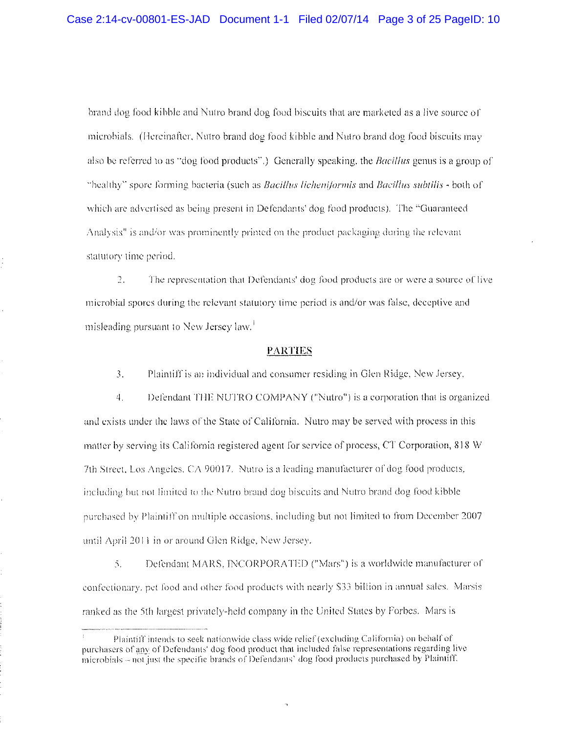brand dog food kibble and Nutro brand dog food biscuits that are marketed as a live source of microbials. (Hereinafter, Nutro brand dog food kibble and Nutro brand dog food biscuits may also be referred to as "dog food products".) Generally speaking, the *Bacillus* genus is a group of "bealthy" spore forming bacteria (such as *Bacillus licheniformis* and *Bacillus subtilis* - both of which are advertised as being present in Defendants' dog food products). The "Guaranteed Analysis" is and/or was prominently printed on the product packaging during the relevant statutory time period.

 $2.$ The representation that Defendants' dog food products are or were a source of live microbial spores during the relevant statutory time period is and/or was false, deceptive and misleading pursuant to New Jersey law.<sup>1</sup>

#### **PARTIES**

 $\overline{3}$ . Plaintiff is an individual and consumer residing in Glen Ridge, New Jersey.

Defendant THE NUTRO COMPANY ("Nutro") is a corporation that is organized 4. and exists under the laws of the State of California. Nutro may be served with process in this matter by serving its California registered agent for service of process, CT Corporation, 818 W 7th Street, Los Angeles, CA 90017. Nutro is a leading manufacturer of dog food products, including but not limited to the Nutro brand dog biscuits and Nutro brand dog food kibble purchased by Plaintiff on multiple occasions, including but not limited to from December 2007 until April 2011 in or around Glen Ridge, New Jersey.

 $\mathcal{L}_{\mathcal{L}}$ Defendant MARS, INCORPORATED ("Mars") is a worldwide manufacturer of confectionary, pet food and other food products with nearly \$33 billion in annual sales. Marsis ranked as the 5th largest privately-held company in the United States by Forbes. Mars is

Plaintiff intends to seek nationwide class wide relief (excluding California) on behalf of purchasers of any of Defendants' dog food product that included false representations regarding live microbials – not just the specific brands of Defendants' dog food products purchased by Plaintiff.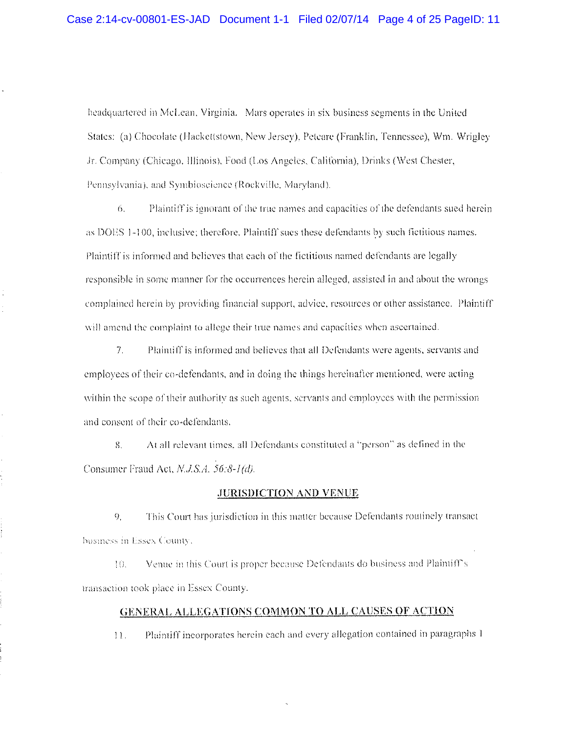headquartered in McLean, Virginia. Mars operates in six business segments in the United States: (a) Chocolate (Hackettstown, New Jersey). Petcare (Franklin, Tennessee), Wm. Wrigley Jr. Company (Chicago, Illinois), Food (Los Angeles, California), Drinks (West Chester, Pennsylvania), and Symbioscience (Rockville, Maryland).

Plaintiff is ignorant of the true names and capacities of the defendants sued herein 6. as DOES 1-100, inclusive; therefore, Plaintiff sues these defendants by such fictitious names. Plaintiff is informed and believes that each of the fictitious named defendants are legally responsible in some manner for the occurrences herein alleged, assisted in and about the wrongs complained herein by providing financial support, advice, resources or other assistance. Plaintiff will amend the complaint to allege their true names and capacities when ascertained.

 $7.$ Plaintiff is informed and believes that all Defendants were agents, servants and employees of their co-defendants, and in doing the things hereinafter mentioned, were acting within the scope of their authority as such agents, scryants and employees with the permission and consent of their co-defendants.

8. At all relevant times, all Defendants constituted a "person" as defined in the Consumer Fraud Act, N.J.S.A. 56:8-1(d).

#### **JURISDICTION AND VENUE**

This Court has jurisdiction in this matter because Defendants routinely transact  $9<sub>1</sub>$ business in Essex County.

Venue in this Court is proper because Defendants do business and Plaintiff's 10. transaction took place in Essex County.

## GENERAL ALLEGATIONS COMMON TO ALL CAUSES OF ACTION

Plaintiff incorporates herein each and every allegation contained in paragraphs 1  $11.$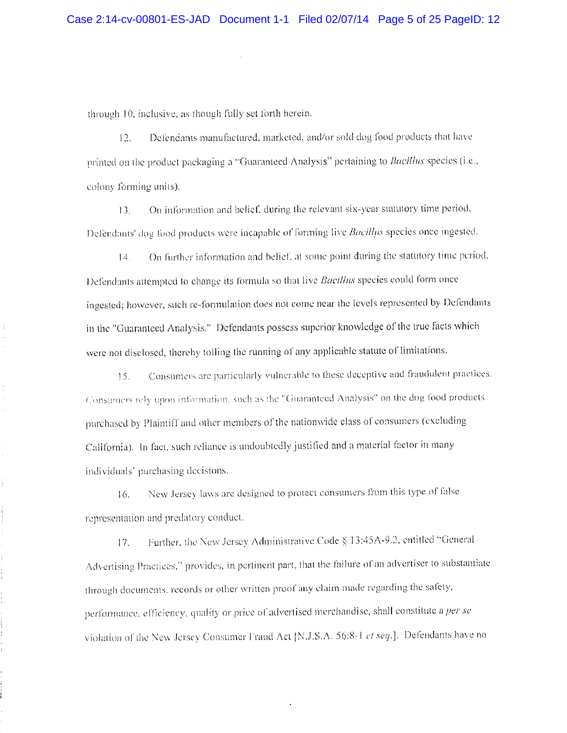through 10, inclusive, as though fully set forth herein.

 $\hat{\mathcal{A}}$ 

 $\bar{\ell}$ 

÷,

Ì.

Ĭ.

 $\frac{1}{4}$ 

 $\ddot{\phantom{a}}$ 

Defendants manufactured, marketed, and/or sold dog food products that have  $12.$ printed on the product packaging a "Guaranteed Analysis" pertaining to *Bacillus* species (i.e., colony forming units).

On information and belief, during the relevant six-year statutory time period,  $13.$ Defendants' dog food products were incapable of forming live *Bacillus* species once ingested.

On further information and belief, at some point during the statutory time period,  $14.$ Defendants attempted to change its formula so that live Bacillus species could form once ingested; however, such re-formulation does not come near the levels represented by Defendants in the "Guaranteed Analysis." Defendants possess superior knowledge of the true facts which were not disclosed, thereby tolling the running of any applicable statute of limitations.

Consumers are particularly vulnerable to these deceptive and fraudulent practices.  $15.$ Consumers rely upon information, such as the "Guaranteed Analysis" on the dog food products purchased by Plaintiff and other members of the nationwide class of consumers (excluding California). In fact, such reliance is undoubtedly justified and a material factor in many individuals' purchasing decisions.

New Jersey laws are designed to protect consumers from this type of false  $16.$ representation and predatory conduct.

Further, the New Jersey Administrative Code § 13:45A-9.2, entitled "General  $17.$ Advertising Practices," provides, in pertinent part, that the failure of an advertiser to substantiate through documents, records or other written proof any claim made regarding the safety, performance, efficiency, quality or price of advertised merchandise, shall constitute a per se violation of the New Jersey Consumer Fraud Act [N.J.S.A. 56;8-1 et seq.]. Defendants have no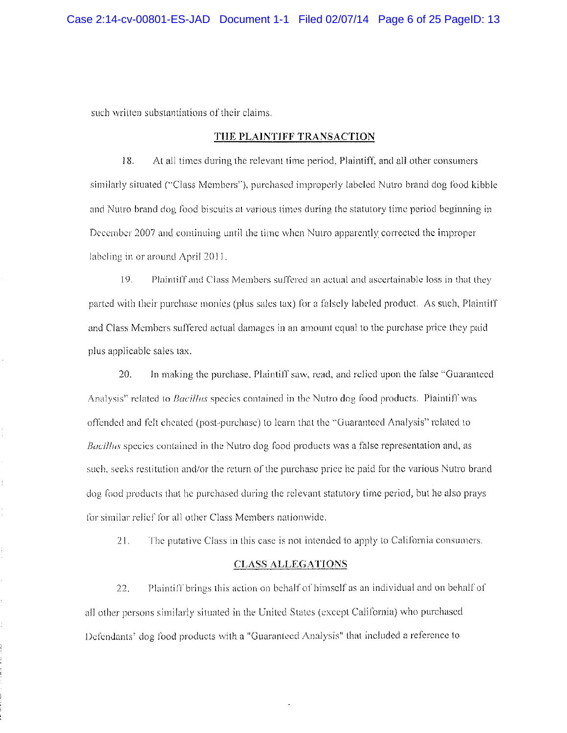such written substantiations of their claims.

ł,

#### THE PLAINTIFF TRANSACTION

18. At all times during the relevant time period, Plaintiff, and all other consumers similarly situated ("Class Members"), purchased improperly labeled Nutro brand dog food kibble and Nutro brand dog food biscuits at various times during the statutory time period beginning in December 2007 and continuing until the time when Nutro apparently corrected the improper labeling in or around April 2011.

19. Plaintiff and Class Members suffered an actual and ascertainable loss in that they parted with their purchase monies (plus sales tax) for a falsely labeled product. As such, Plaintiff and Class Members suffered actual damages in an amount equal to the purchase price they paid plus applicable sales tax.

20. In making the purchase, Plaintiff saw, read, and relied upon the false "Guaranteed" Analysis" related to *Bacillus* species contained in the Nutro dog food products. Plaintiff was offended and felt cheated (post-purchase) to learn that the "Guaranteed Analysis" related to Bacillus species contained in the Nutro dog food products was a false representation and, as such, seeks restitution and/or the return of the purchase price he paid for the various Nutro brand dog food products that he purchased during the relevant statutory time period, but he also prays for similar relief for all other Class Members nationwide.

The putative Class in this case is not intended to apply to California consumers. 21.

#### **CLASS ALLEGATIONS**

 $22.$ Plaintiff brings this action on behalf of himself as an individual and on behalf of all other persons similarly situated in the United States (except California) who purchased Defendants' dog food products with a "Guaranteed Analysis" that included a reference to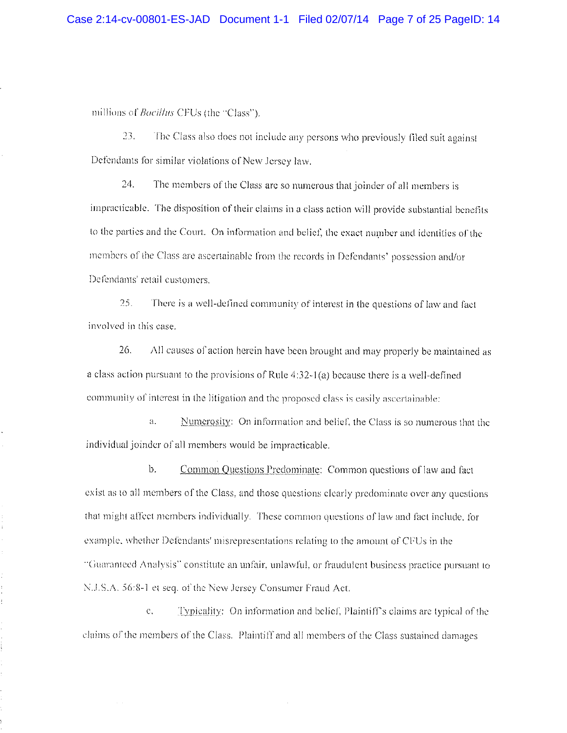millions of *Bacillus* CFUs (the "Class").

 $\hat{\mathbf{v}}$ 

ŧ,

 $23.$ The Class also does not include any persons who previously filed suit against Defendants for similar violations of New Jersey law.

24. The members of the Class are so numerous that joinder of all members is impracticable. The disposition of their claims in a class action will provide substantial benefits to the parties and the Court. On information and belief, the exact number and identities of the members of the Class are ascertainable from the records in Defendants' possession and/or Defendants' retail customers.

 $25.$ There is a well-defined community of interest in the questions of law and fact involved in this case.

 $26.$ All causes of action herein have been brought and may properly be maintained as a class action pursuant to the provisions of Rule 4:32-1(a) because there is a well-defined community of interest in the litigation and the proposed class is easily ascertainable:

Numerosity: On information and belief, the Class is so numerous that the  $a.$ individual joinder of all members would be impracticable.

 $\mathbf{b}$ . Common Questions Predominate: Common questions of law and fact exist as to all members of the Class, and those questions clearly predominate over any questions that might affect members individually. These common questions of law and fact include, for example, whether Defendants' misrepresentations relating to the amount of CFUs in the "Guaranteed Analysis" constitute an unfair, unlawful, or fraudulent business practice pursuant to N.J.S.A. 56:8-1 et seq. of the New Jersey Consumer Fraud Act.

 $\mathcal{C}$ . Typicality: On information and belief, Plaintiff's claims are typical of the claims of the members of the Class. Plaintiff and all members of the Class sustained damages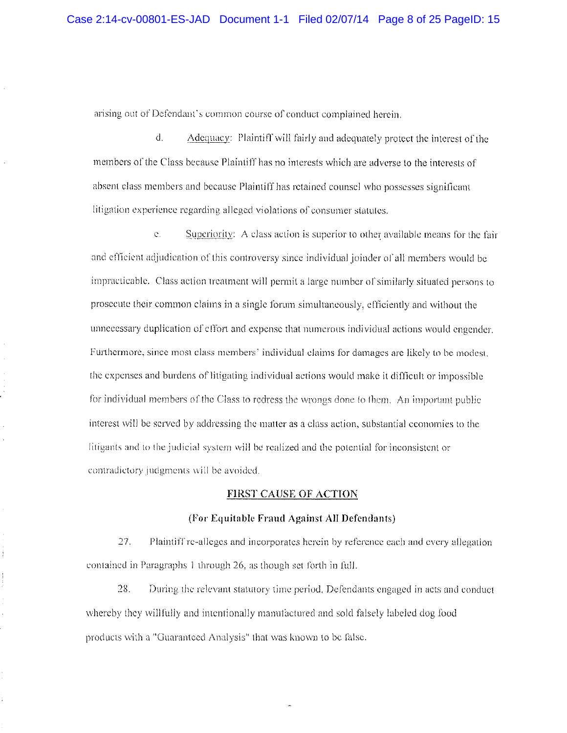arising out of Defendant's common course of conduct complained herein.

 $d_{\perp}$ Adequacy: Plaintiff will fairly and adequately protect the interest of the members of the Class because Plaintiff has no interests which are adverse to the interests of absent class members and because Plaintiff has retained counsel who possesses significant litigation experience regarding alleged violations of consumer statutes.

 $\mathfrak{S}_1$ Superiority: A class action is superior to other available means for the fair and efficient adjudication of this controversy since individual joinder of all members would be impracticable. Class action treatment will permit a large number of similarly situated persons to prosecute their common claims in a single forum simultaneously, efficiently and without the unnecessary duplication of effort and expense that numerous individual actions would engender. Furthermore, since most class members' individual claims for damages are likely to be modest. the expenses and burdens of litigating individual actions would make it difficult or impossible for individual members of the Class to redress the wrongs done to them. An important public interest will be served by addressing the matter as a class action, substantial economies to the litigants and to the judicial system will be realized and the potential for inconsistent or contradictory judgments will be avoided.

#### **FIRST CAUSE OF ACTION**

#### (For Equitable Fraud Against All Defendants)

27. Plaintiff re-alleges and incorporates herein by reference each and every allegation contained in Paragraphs 1 through 26, as though set forth in full.

Ì

 $\frac{1}{2}$ 

28. During the relevant statutory time period. Defendants engaged in acts and conduct whereby they willfully and intentionally manufactured and sold falsely labeled dog food products with a "Guaranteed Analysis" that was known to be false.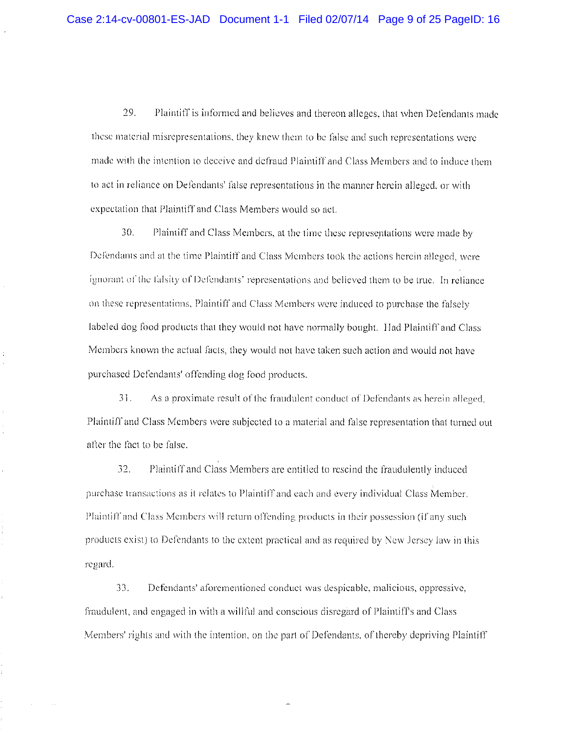29. Plaintiff is informed and believes and thereon alleges, that when Defendants made these material misrepresentations, they knew them to be false and such representations were made with the intention to deceive and defraud Plaintiff and Class Members and to induce them to act in reliance on Defendants' false representations in the manner herein alleged, or with expectation that Plaintiff and Class Members would so act.

30. Plaintiff and Class Members, at the time these representations were made by Defendants and at the time Plaintiff and Class Members took the actions herein alleged, were ignorant of the falsity of Defendants' representations and believed them to be true. In reliance on these representations, Plaintiff and Class Members were induced to purchase the falsely labeled dog food products that they would not have normally bought. Had Plaintiff and Class Members known the actual facts, they would not have taken such action and would not have purchased Defendants' offending dog food products.

As a proximate result of the fraudulent conduct of Defendants as herein alleged.  $31.$ Plaintiff and Class Members were subjected to a material and false representation that turned out after the fact to be false.

Plaintiff and Class Members are entitled to rescind the fraudulently induced 32. purchase transactions as it relates to Plaintiff and each and every individual Class Member. Plaintiff and Class Members will return offending products in their possession (if any such products exist) to Defendants to the extent practical and as required by New Jersey law in this regard.

33. Defendants' aforementioned conduct was despicable, malicious, oppressive, fraudulent, and engaged in with a wilful and conscious disregard of Plaintiff's and Class Members' rights and with the intention, on the part of Defendants, of thereby depriving Plaintiff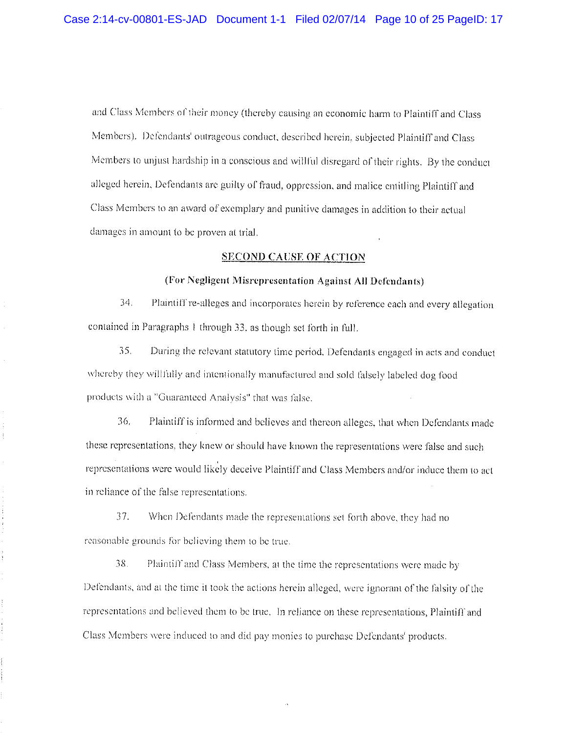and Class Members of their money (thereby eausing an economic harm to Plaintiff and Class Members). Defendants' outrageous conduct, described herein, subjected Plaintiff and Class Members to unjust hardship in a conscious and willful disregard of their rights. By the conduct alleged herein, Defendants are guilty of fraud, oppression, and malice entitling Plaintiff and Class Members to an award of exemplary and punitive damages in addition to their actual damages in amount to be proven at trial.

#### **SECOND CAUSE OF ACTION**

#### (For Negligent Misrepresentation Against All Defendants)

 $34.$ Plaintiff re-alleges and incorporates herein by reference each and every allegation contained in Paragraphs 1 through 33, as though set forth in full.

35. During the relevant statutory time period, Defendants engaged in acts and conduct whereby they willfully and intentionally manufactured and sold falsely labeled dog food products with a "Guaranteed Analysis" that was false.

36. Plaintiff is informed and believes and thereon alleges, that when Defendants made these representations, they knew or should have known the representations were false and such representations were would likely deceive Plaintiff and Class Members and/or induce them to act in reliance of the false representations.

37. When Defendants made the representations set forth above, they had no reasonable grounds for believing them to be true.

 $\frac{1}{2}$ 

 $38.$ Plaintiff and Class Members, at the time the representations were made by Defendants, and at the time it took the actions herein alleged, were ignorant of the falsity of the representations and believed them to be true. In reliance on these representations, Plaintiff and Class Members were induced to and did pay monies to purchase Defendants' products.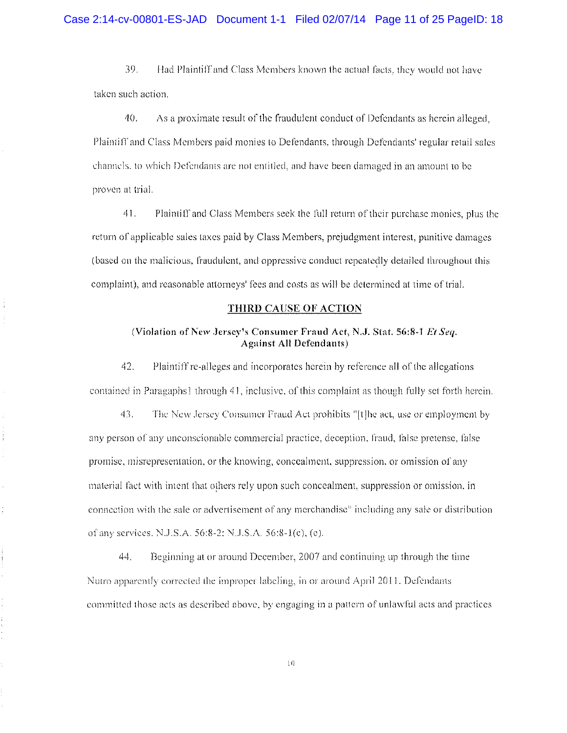39. Had Plaintiff and Class Members known the actual facts, they would not have taken such action.

40. As a proximate result of the fraudulent conduct of Defendants as herein alleged. Plaintiff and Class Members paid monies to Defendants, through Defendants' regular retail sales channels, to which Defendants are not entitled, and have been damaged in an amount to be proven at trial.

41. Plaintiff and Class Members seek the full return of their purchase monies, plus the return of applicable sales taxes paid by Class Members, prejudgment interest, punitive damages (based on the malicious, fraudulent, and oppressive conduct repeatedly detailed throughout this complaint), and reasonable attorneys' fees and costs as will be determined at time of trial.

#### THIRD CAUSE OF ACTION

#### (Violation of New Jersey's Consumer Fraud Act, N.J. Stat. 56:8-1 Et Seq. **Against All Defendants)**

42. Plaintiff re-alleges and incorporates herein by reference all of the allegations contained in Paragaphs1 through 41, inclusive, of this complaint as though fully set forth herein.

43. The New Jersey Consumer Fraud Act prohibits "[t]he act, use or employment by any person of any unconscionable commercial practice, deception, fraud, false pretense, false promise, misrepresentation, or the knowing, concealment, suppression, or omission of any material fact with intent that others rely upon such concealment, suppression or omission, in connection with the sale or advertisement of any merchandise" including any sale or distribution of any services. N.J.S.A. 56:8-2; N.J.S.A. 56:8-1(c), (e).

44. Beginning at or around December, 2007 and continuing up through the time Nutro apparently corrected the improper labeling, in or around April 2011. Defendants committed those acts as described above, by engaging in a pattern of unlawful acts and practices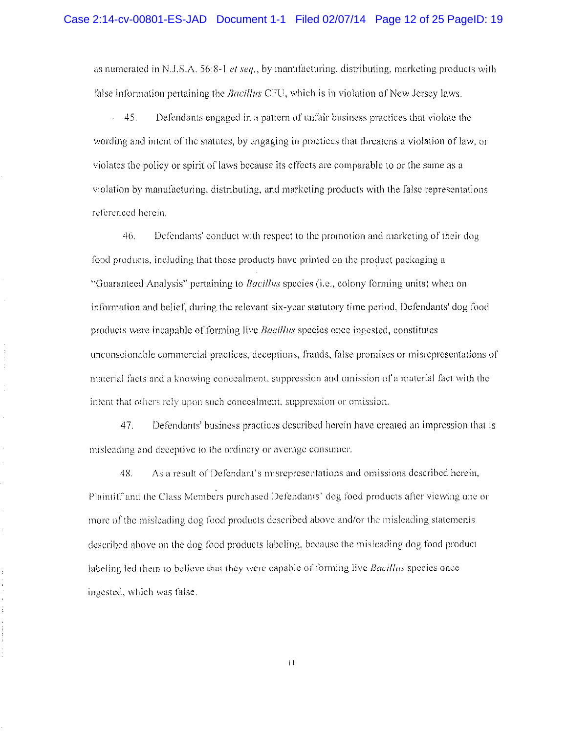as numerated in N.J.S.A. 56:8-1 et seq., by manufacturing, distributing, marketing products with false information pertaining the *Bacillus* CFU, which is in violation of New Jersey laws.

 $45.$ Defendants engaged in a pattern of unfair business practices that violate the wording and intent of the statutes, by engaging in practices that threatens a violation of law, or violates the policy or spirit of laws because its effects are comparable to or the same as a violation by manufacturing, distributing, and marketing products with the false representations referenced herein.

46. Defendants' conduct with respect to the promotion and marketing of their dog food products, including that these products have printed on the product packaging a "Guaranteed Analysis" pertaining to *Bacillus* species (i.e., colony forming units) when on information and belief, during the relevant six-year statutory time period, Defendants' dog food products were incapable of forming live *Bacillus* species once ingested, constitutes unconscionable commercial practices, deceptions, frauds, false promises or misrepresentations of material facts and a knowing concealment, suppression and omission of a material fact with the intent that others rely upon such concealment, suppression or omission.

 $41.$ Defendants' business practices described herein have created an impression that is misleading and deceptive to the ordinary or average consumer.

As a result of Defendant's misrepresentations and omissions described herein, 43. Plaintiff and the Class Members purchased Defendants' dog food products after viewing one or more of the misleading dog food products described above and/or the misleading statements described above on the dog food products labeling, because the misleading dog food product labeling led them to believe that they were capable of forming live *Bacillus* species once ingested, which was false.

 $\bar{1}$  l

 $\frac{1}{2}$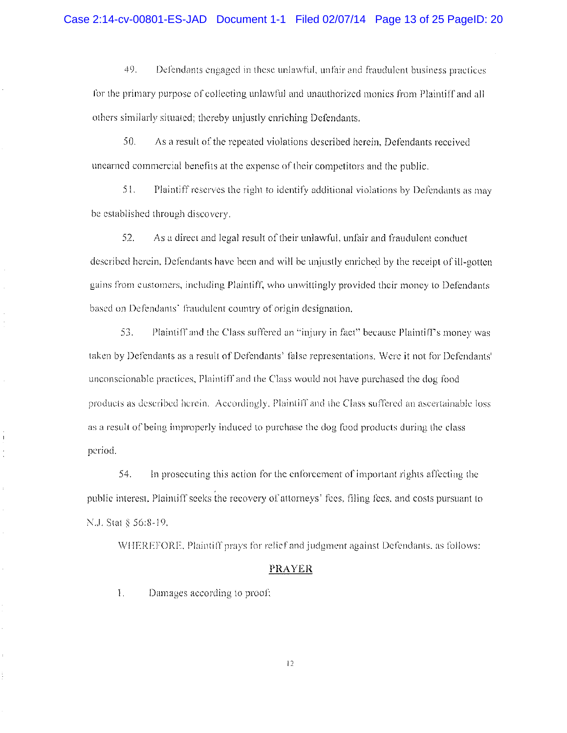49. Defendants engaged in these unlawful, unfair and fraudulent business practices for the primary purpose of collecting unlawful and unauthorized monies from Plaintiff and all others similarly situated: thereby uniustly enriching Defendants.

50. As a result of the repeated violations described herein, Defendants received unearned commercial benefits at the expense of their competitors and the public.

 $51.$ Plaintiff reserves the right to identify additional violations by Defendants as may be established through discovery.

 $52.$ As a direct and legal result of their unlawful, unfair and fraudulent conduct described herein, Defendants have been and will be unjustly enriched by the receipt of ill-gotten gains from customers, including Plaintiff, who unwittingly provided their money to Defendants based on Defendants' fraudulent country of origin designation.

55. Plaintiff and the Class suffered an "injury in fact" because Plaintiff's money was taken by Defendants as a result of Defendants' false representations. Were it not for Defendants' unconscionable practices, Plaintiff and the Class would not have purchased the dog food products as described herein. Accordingly, Plaintiff and the Class suffered an ascertainable loss as a result of being improperly induced to purchase the dog food products during the class period.

54. In prosecuting this action for the enforcement of important rights affecting the public interest. Plaintiff seeks the recovery of attorneys' fees, filing fees, and costs pursuant to N.J. Stat § 56:8-19.

WHEREFORE, Plaintiff prays for relief and judgment against Defendants, as follows:

#### **PRAYER**

 $\mathbf{I}$ . Damages according to proof;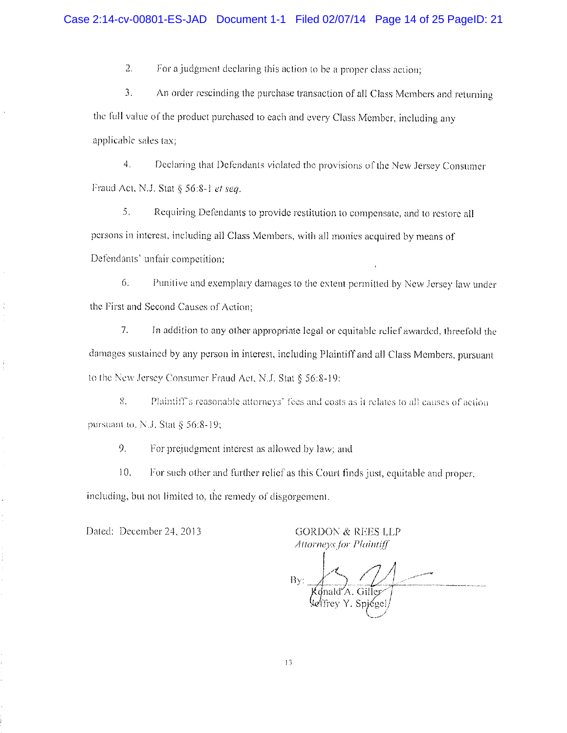$2.$ For a judgment declaring this action to be a proper class action;

3. An order rescinding the purchase transaction of all Class Members and returning the full value of the product purchased to each and every Class Member, including any applicable sales tax:

4. Declaring that Defendants violated the provisions of the New Jersey Consumer Fraud Act, N.J. Stat § 56:8-1 et sea.

5. Requiring Defendants to provide restitution to compensate, and to restore all persons in interest, including all Class Members, with all monies acquired by means of Defendants' unfair competition:

6. Punitive and exemplary damages to the extent permitted by New Jersey law under the First and Second Causes of Action:

7. In addition to any other appropriate legal or equitable relief awarded, threefold the damages sustained by any person in interest, including Plaintiff and all Class Members, pursuant to the New Jersey Consumer Fraud Act, N.J. Stat § 56:8-19:

8. Plaintiff's reasonable attorneys' fees and costs as it relates to all causes of action pursuant to, N.J. Stat § 56:8-19;

9. For prejudgment interest as allowed by law; and

 $10.$ For such other and further relief as this Court finds just, equitable and proper, including, but not limited to, the remedy of disgorgement.

Dated: December 24, 2013

**GORDON & REES LLP Attorneys for Plaintiff** 

 $\rm{By}$ 'A. Giller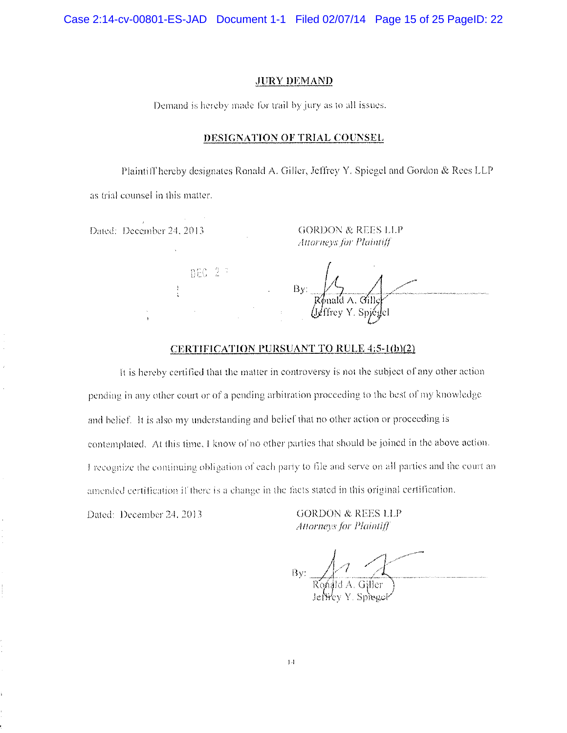Case 2:14-cv-00801-ES-JAD Document 1-1 Filed 02/07/14 Page 15 of 25 PageID: 22

### **JURY DEMAND**

Demand is hereby made for trail by jury as to all issues.

#### DESIGNATION OF TRIAL COUNSEL

Plaintiff hereby designates Ronald A. Giller, Jeffrey Y. Spiegel and Gordon & Rees LLP as trial counsel in this matter.

Dated: December 24, 2013

**GORDON & REES LLP** Attorneys for Plaintiff

DEC 23

#### CERTIFICATION PURSUANT TO RULE 4:5-1(b)(2)

It is hereby certified that the matter in controversy is not the subject of any other action pending in any other court or of a pending arbitration proceeding to the best of my knowledge. and belief. It is also my understanding and belief that no other action or proceeding is contemplated. At this time, I know of no other parties that should be joined in the above action. I recognize the continuing obligation of each party to file and serve on all parties and the court an amended certification if there is a change in the facts stated in this original certification.

Dated: December 24, 2013.

**GORDON & REES LLP** Attorneys for Plaintiff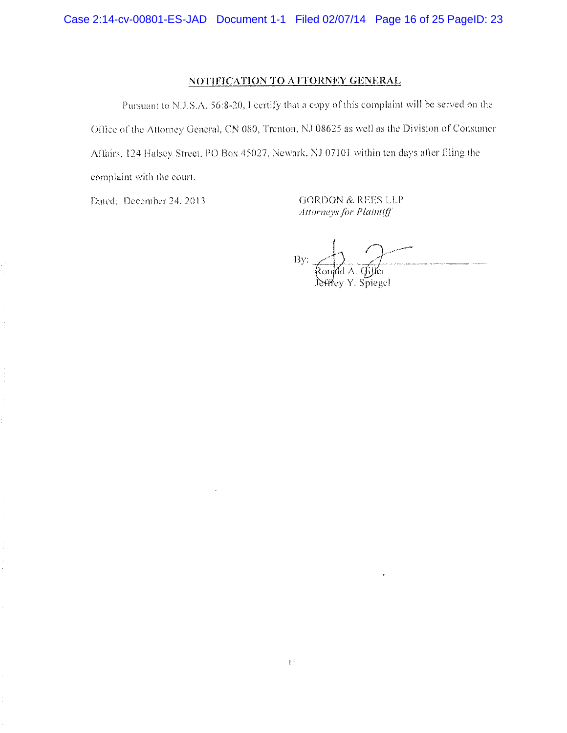## NOTIFICATION TO ATTORNEY GENERAL

Pursuant to N.J.S.A, 56:8-20, I certify that a copy of this complaint will be served on the Office of the Attorney General, CN 080, Trenton, NJ 08625 as well as the Division of Consumer Affairs, 124 Halsey Street, PO Box 45027, Newark, NJ 07101 within ten days after filing the complaint with the court.

Dated: December 24, 2013.

**GORDON & REES LLP** Attorneys for Plaintiff

By: Rondd A. Giller<br>Jeffrey Y. Spiegel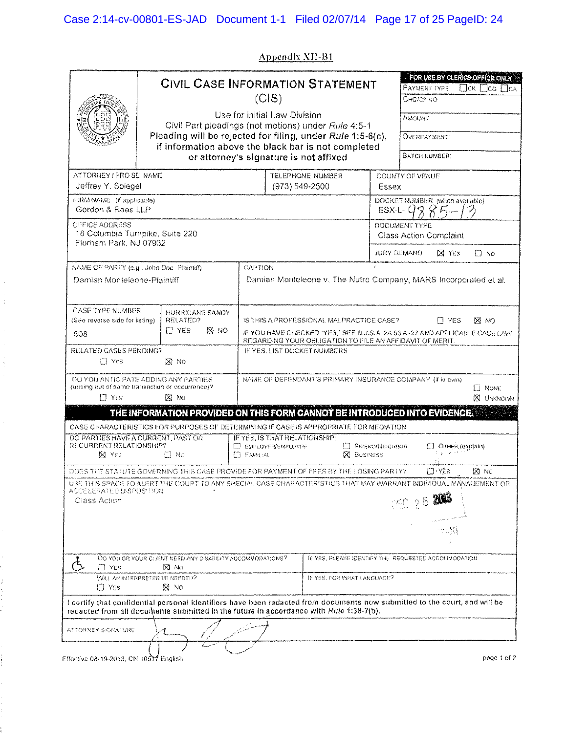**Appendix XII-B1** 

|                                                                                     | FOR USE BY CLERKS OFFICE ONLY<br><b>CIVIL CASE INFORMATION STATEMENT</b><br><b>PAYMENT TYPE:</b><br>Пок Пса Пса                                      |                                                                                                                                            |                                                                                                                   |                                              |                                                                                                                            |  |
|-------------------------------------------------------------------------------------|------------------------------------------------------------------------------------------------------------------------------------------------------|--------------------------------------------------------------------------------------------------------------------------------------------|-------------------------------------------------------------------------------------------------------------------|----------------------------------------------|----------------------------------------------------------------------------------------------------------------------------|--|
|                                                                                     | (C S)                                                                                                                                                |                                                                                                                                            | Сна/ск мо-                                                                                                        |                                              |                                                                                                                            |  |
|                                                                                     |                                                                                                                                                      |                                                                                                                                            | Use for initial Law Division                                                                                      | Amount:                                      |                                                                                                                            |  |
|                                                                                     |                                                                                                                                                      |                                                                                                                                            | Civil Part pleadings (not motions) under Rule 4:5-1<br>Pleading will be rejected for filing, under Rule 1:5-6(c), |                                              | <b>OVERPAYMENT.</b>                                                                                                        |  |
|                                                                                     |                                                                                                                                                      |                                                                                                                                            | if information above the black bar is not completed<br>or attorney's signature is not affixed                     |                                              | <b>BATCH NUMBER:</b>                                                                                                       |  |
|                                                                                     |                                                                                                                                                      |                                                                                                                                            |                                                                                                                   |                                              |                                                                                                                            |  |
| ATTORNEY / PRO SE NAME<br>Jeffrey Y. Spiegel                                        |                                                                                                                                                      |                                                                                                                                            | TELEPHONE NUMBER<br>(973) 549-2500                                                                                | Essex                                        | COUNTY OF VENUE                                                                                                            |  |
| FIRM NAME (if applicable).<br>Gordon & Rees LLP                                     |                                                                                                                                                      |                                                                                                                                            |                                                                                                                   | DOCKET NUMBER (when available)<br>$ESX-L-GQ$ |                                                                                                                            |  |
| OFFICE ADDRESS<br>18 Columbia Turnpike, Suite 220<br>Florham Park, NJ 07932         |                                                                                                                                                      |                                                                                                                                            |                                                                                                                   | DOCUMENT TYPE                                |                                                                                                                            |  |
|                                                                                     |                                                                                                                                                      |                                                                                                                                            |                                                                                                                   |                                              | Class Action Complaint                                                                                                     |  |
|                                                                                     |                                                                                                                                                      |                                                                                                                                            |                                                                                                                   |                                              | JURY DEMAND.<br><b>X</b> YES<br>$\Box$ No                                                                                  |  |
| Damian Monteleone-Plaintiff                                                         | NAME OF PARTY (e.g., John Doe, Plaintiff)                                                                                                            | CAPTION                                                                                                                                    |                                                                                                                   |                                              | Damian Monteleone v. The Nutro Company, MARS Incorporated et al.                                                           |  |
|                                                                                     |                                                                                                                                                      |                                                                                                                                            |                                                                                                                   |                                              |                                                                                                                            |  |
| <b>CASE TYPE NUMBER</b>                                                             | <b>FIURRICANE SANDY</b>                                                                                                                              |                                                                                                                                            |                                                                                                                   |                                              |                                                                                                                            |  |
| (See reverse side for listing)<br>508                                               | RELATED?<br>$\Box$ YES<br>IS NO                                                                                                                      | IS THIS A PROFESSIONAL MALPRACTICE CASE?<br>ITI YES<br>⊠ NO<br>IF YOU HAVE CHECKED 'YES,' SEE M.J.S.A. 2A:53 A -27 AND APPLICABLE CASE LAW |                                                                                                                   |                                              |                                                                                                                            |  |
| RELATED CASES PENDING?                                                              |                                                                                                                                                      |                                                                                                                                            | REGARDING YOUR OBLIGATION TO FILE AN AFFIDAVIT OF MERIT.<br>IF YES. LIST DOCKET NUMBERS                           |                                              |                                                                                                                            |  |
| IT Yes                                                                              | IXI NO                                                                                                                                               |                                                                                                                                            |                                                                                                                   |                                              |                                                                                                                            |  |
|                                                                                     | DO YOU AN TICIPATE ADDING ANY PARTIES<br>NAME OF DEFENDANT'S PRIMARY INSURANCE COMPANY (if known)<br>(ansing out of same transaction or occurrence)? |                                                                                                                                            |                                                                                                                   |                                              | $\square$ None                                                                                                             |  |
| $\Box$ YES                                                                          | $M$ No                                                                                                                                               | <b>X</b> UNKNOVAN                                                                                                                          |                                                                                                                   |                                              |                                                                                                                            |  |
|                                                                                     | THE INFORMATION PROVIDED ON THIS FORM CANNOT BE INTRODUCED INTO EVIDENCE.                                                                            |                                                                                                                                            |                                                                                                                   |                                              |                                                                                                                            |  |
|                                                                                     | CASE CHARACTERISTICS FOR PURPOSES OF DETERMINING IF CASE IS APPROPRIATE FOR MEDIATION                                                                |                                                                                                                                            |                                                                                                                   |                                              |                                                                                                                            |  |
| DO PARTIES HAVE A CURRENT, PAST OR<br>RECURRENT RELATIONSHIP?                       |                                                                                                                                                      | E ESPLOYER/EMPLOYEE                                                                                                                        | IF YES, IS THAT RELATIONSHIP:                                                                                     | E FRIENO/NEIGHROR                            | [] OTHER (explain)                                                                                                         |  |
| N Yes                                                                               | $\Box$ No<br>ET Fannsa i<br><b>X</b> BUSINESS                                                                                                        |                                                                                                                                            |                                                                                                                   |                                              |                                                                                                                            |  |
|                                                                                     | DOES THE STATUTE GOVERNING THIS CASE PROVIDE FOR PAYMENT OF FEES BY THE LOSING PARTY?                                                                |                                                                                                                                            |                                                                                                                   |                                              | ⊡ Yës<br>DO NO                                                                                                             |  |
| ACCELERATED DISPOS TION                                                             |                                                                                                                                                      |                                                                                                                                            |                                                                                                                   |                                              | USE. THIS SPACE TO ALERT THE COURT TO ANY SPECIAL CASE CHARACTERISTICS THAT MAY WARRANT INDIVIDUAL MANAGEMENT OR           |  |
| <b>NO 26 2013</b><br>Class Action                                                   |                                                                                                                                                      |                                                                                                                                            |                                                                                                                   |                                              |                                                                                                                            |  |
|                                                                                     |                                                                                                                                                      |                                                                                                                                            |                                                                                                                   |                                              |                                                                                                                            |  |
|                                                                                     |                                                                                                                                                      |                                                                                                                                            |                                                                                                                   |                                              |                                                                                                                            |  |
| DO YOU OR VOUR CHENT NEED ANY DISABILITY ACCOMMODATIONS?<br>$\square$ Yes<br>ίΧΙ Να |                                                                                                                                                      |                                                                                                                                            |                                                                                                                   |                                              | IF YES, PLEASE IDENTIFY THE REQUESTED ACCOMMODATION.                                                                       |  |
| ET YES.                                                                             | WILL AN INTERPRETER BE NEEDED?<br>54 No                                                                                                              |                                                                                                                                            | IF YES, FOR WHAT LANGUAGE?                                                                                        |                                              |                                                                                                                            |  |
|                                                                                     | redacted from all documents submitted in the future in accordance with Rule 1:38-7(b).                                                               |                                                                                                                                            |                                                                                                                   |                                              | I certify that confidential personal identifiers have been redacted from documents now submitted to the court, and will be |  |
| ATTORNEY SIGNATURE                                                                  |                                                                                                                                                      |                                                                                                                                            |                                                                                                                   |                                              |                                                                                                                            |  |
|                                                                                     |                                                                                                                                                      |                                                                                                                                            |                                                                                                                   |                                              |                                                                                                                            |  |
| Effective 08-19-2013, CN 10517-English                                              |                                                                                                                                                      |                                                                                                                                            |                                                                                                                   |                                              | page 1 of 2                                                                                                                |  |

 $\hat{\boldsymbol{\beta}}$  $\frac{1}{2}$ 

 $\hat{\mathcal{A}}$ 

 $\hat{\mathcal{E}}$ 

 $\ddot{\phantom{0}}$ 

 $\frac{1}{2}$  $\begin{array}{c} 0 \\ 0 \\ 0 \\ 0 \end{array}$ 

 $\sum_{i=1}^{n}$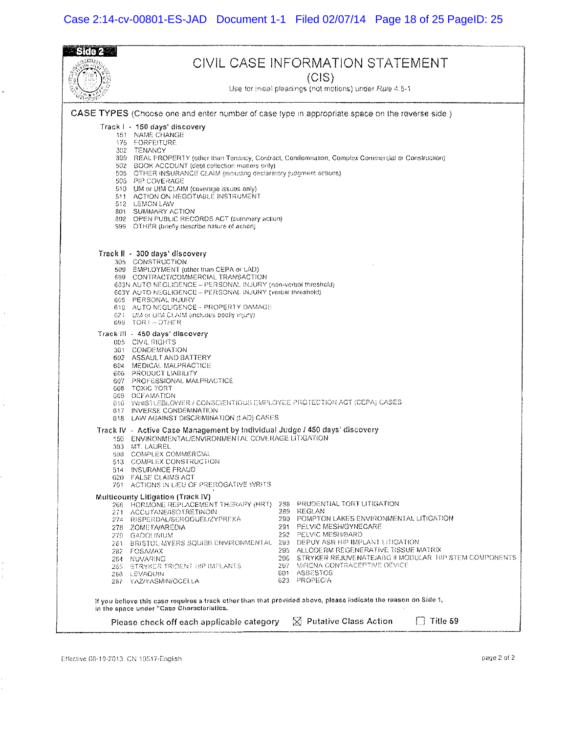## Case 2:14-cv-00801-ES-JAD Document 1-1 Filed 02/07/14 Page 18 of 25 PageID: 25

|                                                                                                                                                                                                                                                                                                                                                                                                       | CIVIL CASE INFORMATION STATEMENT<br>(CIS)                                                                                                                                                                                                                                                                                                                                                                                                                   |                                                                     |                                                                                                                                                                                                                                                                                                                                  |  |  |  |
|-------------------------------------------------------------------------------------------------------------------------------------------------------------------------------------------------------------------------------------------------------------------------------------------------------------------------------------------------------------------------------------------------------|-------------------------------------------------------------------------------------------------------------------------------------------------------------------------------------------------------------------------------------------------------------------------------------------------------------------------------------------------------------------------------------------------------------------------------------------------------------|---------------------------------------------------------------------|----------------------------------------------------------------------------------------------------------------------------------------------------------------------------------------------------------------------------------------------------------------------------------------------------------------------------------|--|--|--|
|                                                                                                                                                                                                                                                                                                                                                                                                       |                                                                                                                                                                                                                                                                                                                                                                                                                                                             |                                                                     | Use for initial pleadings (not motions) under Rule 4:5-1                                                                                                                                                                                                                                                                         |  |  |  |
|                                                                                                                                                                                                                                                                                                                                                                                                       |                                                                                                                                                                                                                                                                                                                                                                                                                                                             |                                                                     | CASE TYPES (Choose one and enter number of case type in appropriate space on the reverse side.)                                                                                                                                                                                                                                  |  |  |  |
|                                                                                                                                                                                                                                                                                                                                                                                                       | Track I - 150 days' discovery<br>151 NAME CHANGE<br>175 FORFEITURE<br>302 TENANCY<br>502 BOOK ACCOUNT (debt collection matters only).<br>509 OTHER INSURANCE CLAIM (mounting declaratory judgment actions)<br>506 PIP COVERAGE<br>510 UM or UIM CLAIM (coverage issues only)<br>511 ACTION ON NEGOTIABLE INSTRUMENT<br>512 LEMON LAW<br>801 SUMMARY ACTION<br>802 OPEN PUBLIC RECORDS ACT (summary action)<br>999 OTHER (briefly describe nature of action) |                                                                     | 399 REAL PROPERTY (other than Tenancy, Contract, Condemnation, Complex Commercial or Construction)                                                                                                                                                                                                                               |  |  |  |
| Track II - 300 days' discovery<br>305 CONSTRUCTION<br>509 EMPLOYMENT (other than CEPA or LAD).<br>599 CONTRACT/COMMERCIAL TRANSACTION<br>603N AUTO NEGLIGENCE - PERSONAL INJURY (non-verbal threshold)<br>603Y AUTO NEGLIGENCE - PERSONAL INJURY (verbal threshold)<br>605 PERSONAL INJURY<br>610 AUTO NEGLIGENCE - PROPERTY DAMAGE<br>621 UM or UM CLAIM (includes bodily mjory)<br>699 TORT - OTHER |                                                                                                                                                                                                                                                                                                                                                                                                                                                             |                                                                     |                                                                                                                                                                                                                                                                                                                                  |  |  |  |
|                                                                                                                                                                                                                                                                                                                                                                                                       | Track 川 - 450 days' discovery<br>005 CIVIL RIGHTS<br>301 CONDEMNATION<br>602 ASSAULT AND BATTERY<br>604 MEDICAL MALPRACTICE<br>606 PRODUCT LIABILITY<br>607 PROFESSIONAL MALPRACTICE<br>608 TOXIC TORT<br>609 DEFAMATION<br>616 WHIS LEBLOWER / CONSCIENTIOUS EMPLOYEE PROTECTION ACT (CEPA) CASES<br>617 INVERSE CONDEMNATION<br>618 LAW AGAINST DISCRIMINATION (LAD) CASES                                                                                |                                                                     |                                                                                                                                                                                                                                                                                                                                  |  |  |  |
|                                                                                                                                                                                                                                                                                                                                                                                                       | Track IV - Active Case Management by Individual Judge / 450 days' discovery<br>156 ENVIRONMENTAL/ENVIRONMENTAL COVERAGE LITIGATION<br>303 MT. LAUREL<br>508 COMPLEX COMMERCIAL<br>513 - COMPLEX CONSTRUCTION<br>514 INSURANCE FRAUD<br>620 FALSE CLAIMS ACT<br>701 ACTIONS IN LIEU OF PREROGATIVE WRITS                                                                                                                                                     |                                                                     |                                                                                                                                                                                                                                                                                                                                  |  |  |  |
|                                                                                                                                                                                                                                                                                                                                                                                                       | Multicounty Litigation (Track IV)<br>266 HORMONE REPLACEMENT THERAPY (HRT)<br>271 ACCUTANE/ISOTRETINOIN<br>274 RISPERDAL/SEROQUEL/ZYPREXA<br>278 ZOMETA/AREDIA<br>279 GADOLINIUM<br>281 BRISTOL-MYERS SOUISB ENVIRONMENTAL<br>282 FOSAMAX<br>284 NUVARING<br>285 STRYKER IRIDENI HIP IMPLANI'S<br>266 LEVAQUIN<br>287 YAZIYASMIN/OCELLA                                                                                                                     | 288<br>289.<br>291.<br>292.<br>293-<br>295.<br>296.<br>297.<br>601. | PRUDENTIAL TORT LITIGATION<br>REGLAN<br>290 - POMPTON LAKES ENVIRONMENTAL LITIGATION<br>PELVIC MESH/GYNECARE<br>PELVIC MESH/BARD<br>DEPUY ASR HIP IMPLANT LITIGATION<br>ALLODERM REGENERATIVE TISSUE MATRIX<br>STRYKER REJUVENATE/ABG II MODULAR. HIP STEM COMPONENTS<br>MIRENA CONTRACEPTIVE DEVICE<br>ASBESTOS<br>623 PROPECIA |  |  |  |
| If you believe this case requires a track other than that provided above, please indicate the reason on Side 1,<br>in the space under "Case Characteristics,<br>$[$ $]$ Putative Class Action<br>Title 59                                                                                                                                                                                             |                                                                                                                                                                                                                                                                                                                                                                                                                                                             |                                                                     |                                                                                                                                                                                                                                                                                                                                  |  |  |  |
| Please check off each applicable category                                                                                                                                                                                                                                                                                                                                                             |                                                                                                                                                                                                                                                                                                                                                                                                                                                             |                                                                     |                                                                                                                                                                                                                                                                                                                                  |  |  |  |

Effective 08-19-2013, CN 10517-English

 $\ddot{\phantom{0}}$ 

ł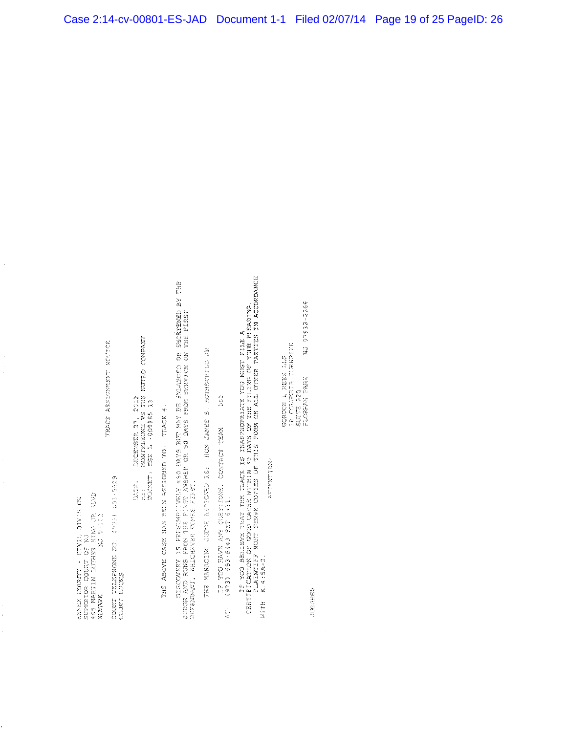RSSEX COUNTY - CIVIL DIVISION<br>SUPERDOR COURT OF NJ<br>465 BARTIN LUTHER XING JR HUDD<br>NEWARK LUTHER XING JR HUDD

最高的的复数 网络网络美国网络鱼属 网络属植物

 $\cdot$ 

COUNT TEARPHONE NO. (973) 633-522<br>COUNT EQUES

DECEMBER 27, 2013<br>MONTELEONE VS 7HB NUTRO CONPANY<br>ESX L -009889 13  $\begin{bmatrix} 1 & 1 & 1 \\ 1 & 1 & 1 \\ 1 & 1 & 1 \\ 1 & 1 & 1 \\ 1 & 1 & 1 \\ 1 & 1 & 1 \\ 1 & 1 & 1 \\ 1 & 1 & 1 \\ 1 & 1 & 1 \\ 1 & 1 & 1 \\ 1 & 1 & 1 \\ 1 & 1 & 1 \\ 1 & 1 & 1 \\ 1 & 1 & 1 \\ 1 & 1 & 1 \\ 1 & 1 & 1 \\ 1 & 1 & 1 \\ 1 & 1 & 1 \\ 1 & 1 & 1 \\ 1 & 1 & 1 \\ 1 & 1 & 1 \\ 1 & 1 & 1 \\ 1 & 1 & 1 & 1 \\ 1 &$ 

TEACH 4. COL CERCURST KEER WER and BOORT HIRE DISCOVERY IS PRESEMPTIVELY 450 CAYS RIP WAY BURLARCED OR SECRITENED BY THE<br>JURGE AND RUNS PRON THE FIRST ANGMER OR 90 DAYS FROM SERVICE ON THE FIRST WINDOWS<br>DEFENDANT, WHICHEVER COMES FIRST.

第7 公民1925年12月 15 533877 第24 - 19 E 公民2019年6月 5000元 50010元第23 公民1

 $\frac{3}{2}$ IF FOU BAVE ANY GEESTIONS. CONTACT TEAM<br>(973) 593-6443 SXT 5433.  $\sum_{i=1}^n$  IF YOU BELLEVE THAT THE TEACH IS INAPPROPELATE YOU KIST FILE A<br>CENTIFICATION OF CROSS CAUSS WITHIN AS DAYS OF THE FILING OF YOUR PIEMBING.<br>PLAINTING TO CROSS SURFE COPIES OF THIS PODA OF ALL OTHER PARTIES IN ACCORDANCE<br>UTH

wire

AUTHORITIC

**WD 87932-2266** GORDON & REES LLP<br>18 COLOREIA TURKPIKE<br>SHITE 220<br>FLORENA PARK

**SEARCH**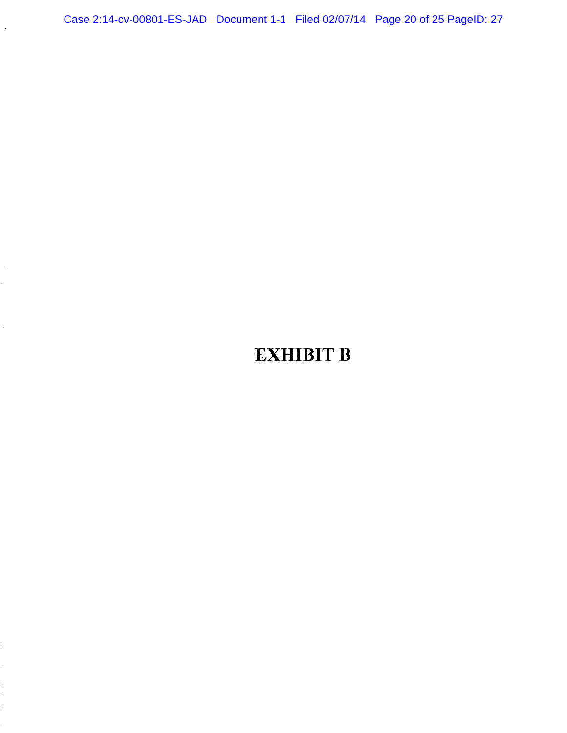Case 2:14-cv-00801-ES-JAD Document 1-1 Filed 02/07/14 Page 20 of 25 PageID: 27

 $\ddot{\phantom{a}}$ 

# **EXHIBIT B**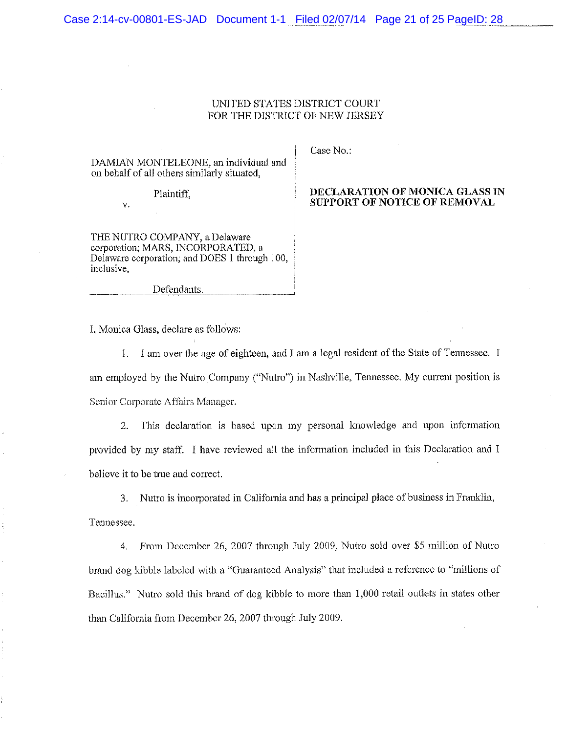#### UNITED STATES DISTRICT COURT FOR THE DISTRICT OF NEW JERSEY

DAMIAN MONTELEONE, an individual and on behalf of all others similarly situated.

Plaintiff.

γ.

THE NUTRO COMPANY, a Delaware corporation; MARS, INCORPORATED, a Delaware corporation; and DOES 1 through 100, inclusive,

Defendants.

I, Monica Glass, declare as follows:

1. I am over the age of eighteen, and I am a legal resident of the State of Tennessee. I am employed by the Nutro Company ("Nutro") in Nashville, Tennessee. My current position is Senior Corporate Affairs Manager.

2. This declaration is based upon my personal knowledge and upon information provided by my staff. I have reviewed all the information included in this Declaration and I believe it to be true and correct.

3. Nutro is incorporated in California and has a principal place of business in Franklin,

Tennessee.

From December 26, 2007 through July 2009, Nutro sold over \$5 million of Nutro  $4.$ brand dog kibble labeled with a "Guaranteed Analysis" that included a reference to "millions of Bacillus." Nutro sold this brand of dog kibble to more than 1,000 retail outlets in states other than California from December 26, 2007 through July 2009.

Case No.:

#### DECLARATION OF MONICA GLASS IN SUPPORT OF NOTICE OF REMOVAL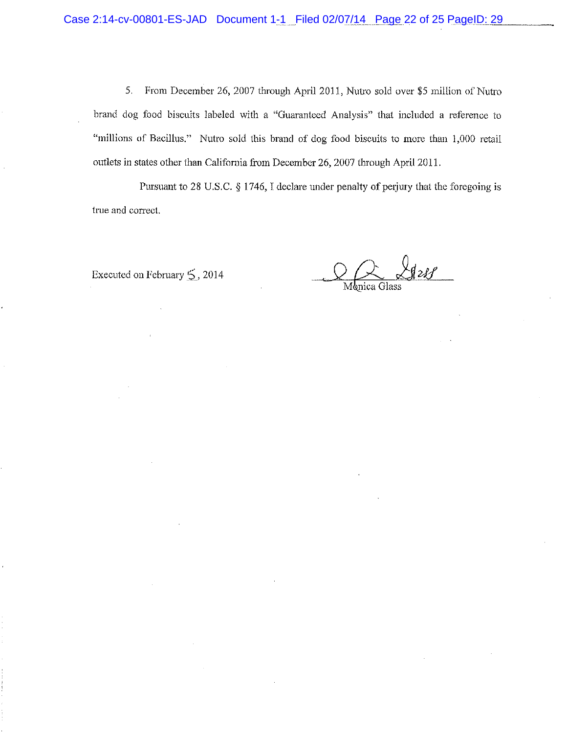5. From December 26, 2007 through April 2011, Nutro sold over \$5 million of Nutro brand dog food biscuits labeled with a "Guaranteed Analysis" that included a reference to "millions of Bacillus." Nutro sold this brand of dog food biscuits to more than 1,000 retail outlets in states other than California from December 26, 2007 through April 2011.

Pursuant to 28 U.S.C. § 1746, I declare under penalty of perjury that the foregoing is true and correct.

Executed on February 5, 2014

 $\sqrt{12}$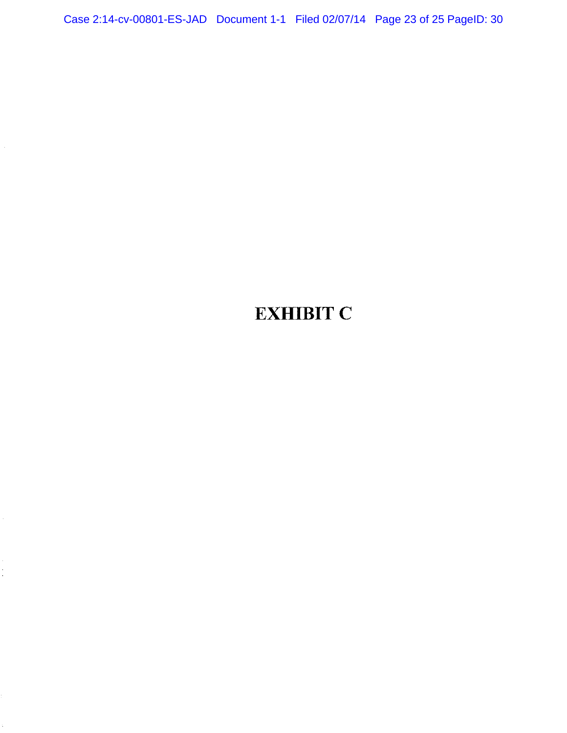Case 2:14-cv-00801-ES-JAD Document 1-1 Filed 02/07/14 Page 23 of 25 PageID: 30

# **EXHIBIT C**

 $\epsilon$ 

 $\frac{1}{\sqrt{2}}$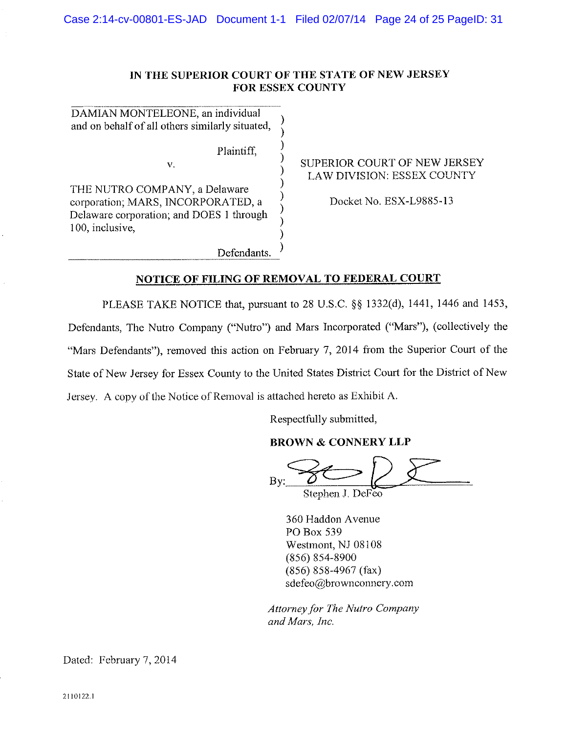## IN THE SUPERIOR COURT OF THE STATE OF NEW JERSEY FOR ESSEX COUNTY

DAMIAN MONTELEONE, an individual and on behalf of all others similarly situated,

Plaintiff.

Defendants.

THE NUTRO COMPANY, a Delaware corporation; MARS, INCORPORATED, a Delaware corporation; and DOES 1 through 100, inclusive,

 $\mathbf{V}$ .

SUPERIOR COURT OF NEW JERSEY LAW DIVISION: ESSEX COUNTY

Docket No. ESX-L9885-13

## NOTICE OF FILING OF REMOVAL TO FEDERAL COURT

PLEASE TAKE NOTICE that, pursuant to 28 U.S.C. §§ 1332(d), 1441, 1446 and 1453, Defendants, The Nutro Company ("Nutro") and Mars Incorporated ("Mars"), (collectively the "Mars Defendants"), removed this action on February 7, 2014 from the Superior Court of the State of New Jersey for Essex County to the United States District Court for the District of New Jersey. A copy of the Notice of Removal is attached hereto as Exhibit A.

Respectfully submitted,

## **BROWN & CONNERY LLP**

 $\mathbf{B}$ Stephen J. DeFeo

360 Haddon Avenue PO Box 539 Westmont, NJ 08108  $(856) 854 - 8900$  $(856) 858 - 4967$  (fax) sdefeo@brownconnery.com

Attorney for The Nutro Company and Mars, Inc.

Dated: February 7, 2014